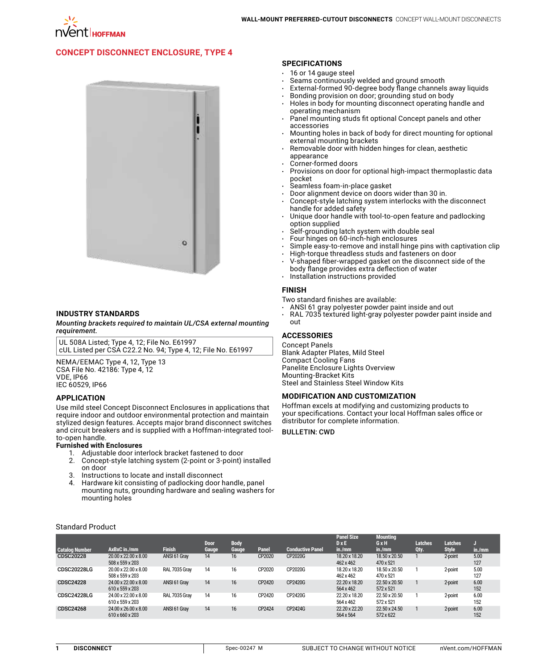

# **[Concept Disconnect Enclosure, Type 4](http://hoffman.nvent.com/en/hoffman/CONCEPT-Disconnect-Enclosure-Type-4)**



## **INDUSTRY STANDARDS**

*Mounting brackets required to maintain UL/CSA external mounting requirement.*

UL 508A Listed; Type 4, 12; File No. E61997 cUL Listed per CSA C22.2 No. 94; Type 4, 12; File No. E61997

NEMA/EEMAC Type 4, 12, Type 13 CSA File No. 42186: Type 4, 12 VDE, IP66 IEC 60529, IP66

### **APPLICATION**

Use mild steel Concept Disconnect Enclosures in applications that require indoor and outdoor environmental protection and maintain stylized design features. Accepts major brand disconnect switches and circuit breakers and is supplied with a Hoffman-integrated toolto-open handle.

#### **Furnished with Enclosures**

- 1. Adjustable door interlock bracket fastened to door
- 2. Concept-style latching system (2-point or 3-point) installed on door
- 3. Instructions to locate and install disconnect
- 4. Hardware kit consisting of padlocking door handle, panel mounting nuts, grounding hardware and sealing washers for mounting holes

#### **SPECIFICATIONS**

- $\cdot$  16 or 14 gauge steel
- $\cdot$  Seams continuously welded and ground smooth
- $\cdot$  External-formed 90-degree body flange channels away liquids
- Bonding provision on door; grounding stud on body
- Holes in body for mounting disconnect operating handle and operating mechanism
- Panel mounting studs fit optional Concept panels and other accessories
- Mounting holes in back of body for direct mounting for optional external mounting brackets
- Removable door with hidden hinges for clean, aesthetic appearance
- Corner-formed doors
- Provisions on door for optional high-impact thermoplastic data pocket
- Seamless foam-in-place gasket
- Door alignment device on doors wider than 30 in.
- Concept-style latching system interlocks with the disconnect handle for added safety
- Unique door handle with tool-to-open feature and padlocking option supplied
- Self-grounding latch system with double seal
- Four hinges on 60-inch-high enclosures
- Simple easy-to-remove and install hinge pins with captivation clip
- High-torque threadless studs and fasteners on door
- V-shaped fiber-wrapped gasket on the disconnect side of the
- body flange provides extra deflection of water
- Installation instructions provided

#### **FINISH**

Two standard finishes are available:

- ANSI 61 gray polyester powder paint inside and out
- RAL 7035 textured light-gray polyester powder paint inside and out

# **ACCESSORIES**

Concept Panels Blank Adapter Plates, Mild Steel Compact Cooling Fans Panelite Enclosure Lights Overview Mounting-Bracket Kits Steel and Stainless Steel Window Kits

### **MODIFICATION AND CUSTOMIZATION**

Hoffman excels at modifying and customizing products to your specifications. Contact your local Hoffman sales office or distributor for complete information.

### **BULLETIN: CWD**

|                       |                                         |               | <b>Door</b> | <b>Body</b> |        |                         | <b>Panel Size</b><br>$D \times E$ | <b>Mounting</b><br>GxH     | <b>Latches</b> | Latches      |             |
|-----------------------|-----------------------------------------|---------------|-------------|-------------|--------|-------------------------|-----------------------------------|----------------------------|----------------|--------------|-------------|
| <b>Catalog Number</b> | AxBxC in./mm                            | <b>Finish</b> | Gauge       | Gauge       | Panel  | <b>Conductive Panel</b> | in./mm                            | in./mm                     | Qty.           | <b>Style</b> | in./mm      |
| <b>CDSC20228</b>      | 20.00 x 22.00 x 8.00<br>508 x 559 x 203 | ANSI 61 Gray  | 14          | 16          | CP2020 | CP2020G                 | 18.20 x 18.20<br>462 x 462        | 18.50 x 20.50<br>470 x 521 |                | 2-point      | 5.00<br>127 |
| <b>CDSC20228LG</b>    | 20.00 x 22.00 x 8.00<br>508 x 559 x 203 | RAL 7035 Gray | 14          | 16          | CP2020 | CP2020G                 | 18.20 x 18.20<br>462 x 462        | 18.50 x 20.50<br>470 x 521 |                | 2-point      | 5.00<br>127 |
| <b>CDSC24228</b>      | 24.00 x 22.00 x 8.00<br>610 x 559 x 203 | ANSI 61 Gray  | 14          | 16          | CP2420 | CP2420G                 | 22.20 x 18.20<br>564 x 462        | 22.50 x 20.50<br>572 x 521 |                | 2-point      | 6.00<br>152 |
| <b>CDSC24228LG</b>    | 24.00 x 22.00 x 8.00<br>610 x 559 x 203 | RAL 7035 Gray | 14          | 16          | CP2420 | CP2420G                 | 22.20 x 18.20<br>564 x 462        | 22.50 x 20.50<br>572 x 521 |                | 2-point      | 6.00<br>152 |
| CDSC24268             | 24.00 x 26.00 x 8.00<br>610 x 660 x 203 | ANSI 61 Gray  | 14          | 16          | CP2424 | CP2424G                 | 22.20 x 22.20<br>564 x 564        | 22.50 x 24.50<br>572 x 622 |                | 2-point      | 6.00<br>152 |

Standard Product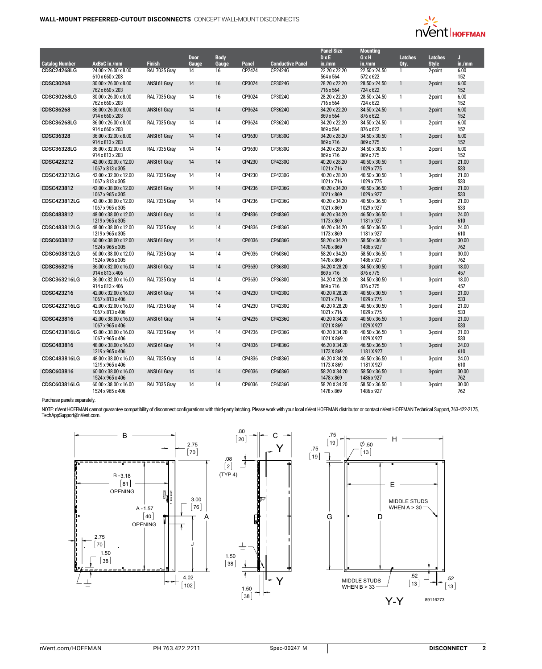

|                       |                                           |               |                 |                 |        |                         | <b>Panel Size</b>           | <b>Mounting</b>             |                |                |              |
|-----------------------|-------------------------------------------|---------------|-----------------|-----------------|--------|-------------------------|-----------------------------|-----------------------------|----------------|----------------|--------------|
|                       |                                           |               | <b>Door</b>     | <b>Body</b>     |        |                         | $D \times E$                | GxH                         | <b>Latches</b> | <b>Latches</b> | J            |
| <b>Catalog Number</b> | AxBxC in./mm                              | <b>Finish</b> | Gauge           | Gauge           | Panel  | <b>Conductive Panel</b> | in./mm                      | in./mm                      | Qty.           | <b>Style</b>   | in./mm       |
| <b>CDSC24268LG</b>    | 24.00 x 26.00 x 8.00<br>610 x 660 x 203   | RAL 7035 Grav | $\overline{14}$ | $\overline{16}$ | CP2424 | CP2424G                 | 22.20 x 22.20<br>564 x 564  | 22.50 x 24.50<br>572 x 622  | $\mathbf{1}$   | 2-point        | 6.00<br>152  |
| CDSC30268             | 30.00 x 26.00 x 8.00<br>762 x 660 x 203   | ANSI 61 Gray  | 14              | 16              | CP3024 | CP3024G                 | 28.20 x 22.20<br>716 x 564  | 28.50 x 24.50<br>724 x 622  | $\mathbf{1}$   | 2-point        | 6.00<br>152  |
| <b>CDSC30268LG</b>    | 30.00 x 26.00 x 8.00<br>762 x 660 x 203   | RAL 7035 Grav | 14              | 16              | CP3024 | CP3024G                 | 28.20 x 22.20<br>716 x 564  | 28.50 x 24.50<br>724 x 622  | $\mathbf{1}$   | 2-point        | 6.00<br>152  |
| <b>CDSC36268</b>      | 36.00 x 26.00 x 8.00<br>914 x 660 x 203   | ANSI 61 Gray  | 14              | 14              | CP3624 | CP3624G                 | 34.20 x 22.20<br>869 x 564  | 34.50 x 24.50<br>876 x 622  | $\mathbf{1}$   | 2-point        | 6.00<br>152  |
| <b>CDSC36268LG</b>    | 36.00 x 26.00 x 8.00                      | RAL 7035 Gray | 14              | 14              | CP3624 | CP3624G                 | 34.20 x 22.20               | 34.50 x 24.50               | $\mathbf{1}$   | 2-point        | 6.00         |
|                       | 914 x 660 x 203                           |               |                 |                 |        |                         | 869 x 564                   | 876 x 622                   |                |                | 152          |
| CDSC36328             | 36.00 x 32.00 x 8.00<br>914 x 813 x 203   | ANSI 61 Gray  | 14              | 14              | CP3630 | CP3630G                 | 34.20 x 28.20<br>869 x 716  | 34.50 x 30.50<br>869 x 775  | $\mathbf{1}$   | 2-point        | 6.00<br>152  |
| <b>CDSC36328LG</b>    | 36.00 x 32.00 x 8.00<br>914 x 813 x 203   | RAL 7035 Gray | 14              | 14              | CP3630 | CP3630G                 | 34.20 x 28.20<br>869 x 716  | 34.50 x 30.50<br>869 x 775  | $\mathbf{1}$   | 2-point        | 6.00<br>152  |
| CDSC423212            | 42.00 x 32.00 x 12.00<br>1067 x 813 x 305 | ANSI 61 Gray  | 14              | 14              | CP4230 | CP4230G                 | 40.20 x 28.20<br>1021 x 716 | 40.50 x 30.50<br>1029 x 775 | $\mathbf{1}$   | 3-point        | 21.00<br>533 |
| <b>CDSC423212LG</b>   | 42.00 x 32.00 x 12.00<br>1067 x 813 x 305 | RAL 7035 Gray | 14              | 14              | CP4230 | CP4230G                 | 40.20 x 28.20<br>1021 x 716 | 40.50 x 30.50<br>1029 x 775 | $\mathbf{1}$   | 3-point        | 21.00<br>533 |
| CDSC423812            | 42.00 x 38.00 x 12.00<br>1067 x 965 x 305 | ANSI 61 Gray  | 14              | 14              | CP4236 | CP4236G                 | 40.20 x 34.20<br>1021 x 869 | 40.50 x 36.50<br>1029 x 927 | $\mathbf{1}$   | 3-point        | 21.00<br>533 |
| <b>CDSC423812LG</b>   | 42.00 x 38.00 x 12.00<br>1067 x 965 x 305 | RAL 7035 Gray | 14              | 14              | CP4236 | CP4236G                 | 40.20 x 34.20<br>1021 x 869 | 40.50 x 36.50<br>1029 x 927 | $\mathbf{1}$   | 3-point        | 21.00<br>533 |
| CDSC483812            | 48.00 x 38.00 x 12.00<br>1219 x 965 x 305 | ANSI 61 Gray  | 14              | 14              | CP4836 | CP4836G                 | 46.20 x 34.20<br>1173 x 869 | 46.50 x 36.50<br>1181 x 927 | $\mathbf{1}$   | 3-point        | 24.00<br>610 |
| CDSC483812LG          | 48.00 x 38.00 x 12.00<br>1219 x 965 x 305 | RAL 7035 Gray | 14              | 14              | CP4836 | CP4836G                 | 46.20 x 34.20<br>1173 x 869 | 46.50 x 36.50<br>1181 x 927 | $\mathbf{1}$   | 3-point        | 24.00<br>610 |
| CDSC603812            | 60.00 x 38.00 x 12.00<br>1524 x 965 x 305 | ANSI 61 Gray  | 14              | 14              | CP6036 | CP6036G                 | 58.20 x 34.20<br>1478 x 869 | 58.50 x 36.50<br>1486 x 927 | $\mathbf{1}$   | 3-point        | 30.00<br>762 |
| CDSC603812LG          | 60.00 x 38.00 x 12.00<br>1524 x 965 x 305 | RAL 7035 Gray | 14              | 14              | CP6036 | CP6036G                 | 58.20 x 34.20<br>1478 x 869 | 58.50 x 36.50<br>1486 x 927 | $\mathbf{1}$   | 3-point        | 30.00<br>762 |
| CDSC363216            | 36.00 x 32.00 x 16.00<br>914 x 813 x 406  | ANSI 61 Gray  | 14              | 14              | CP3630 | CP3630G                 | 34.20 X 28.20<br>869 x 716  | 34.50 x 30.50<br>876 x 775  | $\mathbf{1}$   | 3-point        | 18.00<br>457 |
| CDSC363216LG          | 36.00 x 32.00 x 16.00                     | RAL 7035 Gray | 14              | 14              | CP3630 | CP3630G                 | 34.20 X 28.20               | 34.50 x 30.50               | -1             | 3-point        | 18.00        |
| CDSC423216            | 914 x 813 x 406<br>42.00 x 32.00 x 16.00  | ANSI 61 Gray  | 14              | 14              | CP4230 | CP4230G                 | 869 x 716<br>40.20 X 28.20  | 876 x 775<br>40.50 x 30.50  | $\mathbf{1}$   | 3-point        | 457<br>21.00 |
| <b>CDSC423216LG</b>   | 1067 x 813 x 406<br>42.00 x 32.00 x 16.00 | RAL 7035 Gray | 14              | 14              | CP4230 | CP4230G                 | 1021 x 716<br>40.20 X 28.20 | 1029 x 775<br>40.50 x 30.50 | $\mathbf{1}$   | 3-point        | 533<br>21.00 |
| CDSC423816            | 1067 x 813 x 406<br>42.00 x 38.00 x 16.00 | ANSI 61 Gray  | 14              | 14              | CP4236 | CP4236G                 | 1021 x 716<br>40.20 X 34.20 | 1029 x 775<br>40.50 x 36.50 | $\mathbf{1}$   | 3-point        | 533<br>21.00 |
| CDSC423816LG          | 1067 x 965 x 406<br>42.00 x 38.00 x 16.00 | RAL 7035 Gray | 14              | 14              | CP4236 | CP4236G                 | 1021 X 869<br>40.20 X 34.20 | 1029 X 927<br>40.50 x 36.50 | $\mathbf{1}$   |                | 533<br>21.00 |
|                       | 1067 x 965 x 406                          |               |                 |                 |        |                         | 1021 X 869                  | 1029 X 927                  |                | 3-point        | 533          |
| CDSC483816            | 48.00 x 38.00 x 16.00<br>1219 x 965 x 406 | ANSI 61 Gray  | 14              | 14              | CP4836 | CP4836G                 | 46.20 X 34.20<br>1173 X 869 | 46.50 x 36.50<br>1181 X 927 | $\mathbf{1}$   | 3-point        | 24.00<br>610 |
| CDSC483816LG          | 48.00 x 38.00 x 16.00<br>1219 x 965 x 406 | RAL 7035 Gray | 14              | 14              | CP4836 | CP4836G                 | 46.20 X 34.20<br>1173 X 869 | 46.50 x 36.50<br>1181 X 927 | $\mathbf{1}$   | 3-point        | 24.00<br>610 |
| CDSC603816            | 60.00 x 38.00 x 16.00<br>1524 x 965 x 406 | ANSI 61 Gray  | 14              | 14              | CP6036 | CP6036G                 | 58.20 X 34.20<br>1478 x 869 | 58.50 x 36.50<br>1486 x 927 | $\mathbf{1}$   | 3-point        | 30.00<br>762 |
| CDSC603816LG          | 60.00 x 38.00 x 16.00<br>1524 x 965 x 406 | RAL 7035 Gray | 14              | 14              | CP6036 | CP6036G                 | 58.20 X 34.20<br>1478 x 869 | 58.50 x 36.50<br>1486 x 927 | $\mathbf{1}$   | 3-point        | 30.00<br>762 |

## Purchase panels separately.

NOTE: nVent HOFFMAN cannot guarantee compatibility of disconnect configurations with third-party latching. Please work with your local nVent HOFFMAN distributor or contact nVent HOFFMAN Technical Support, 763-422-2175,<br>Tec

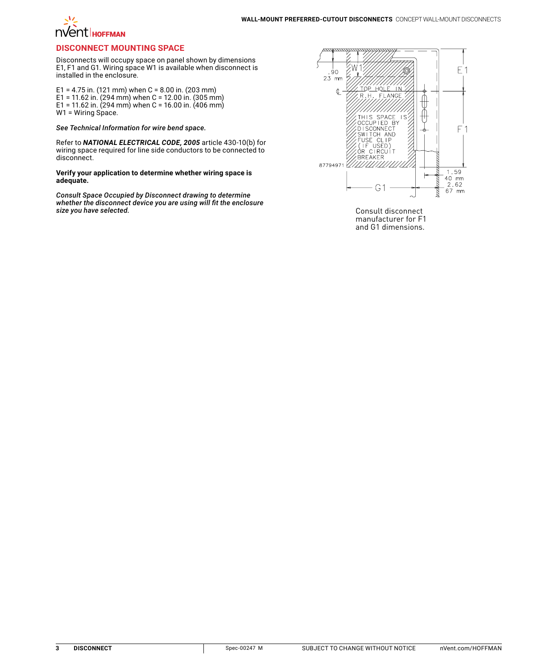# **NVentI** HOFFMAN

## **Disconnect Mounting Space**

Disconnects will occupy space on panel shown by dimensions E1, F1 and G1. Wiring space W1 is available when disconnect is installed in the enclosure.

E1 = 4.75 in. (121 mm) when C = 8.00 in. (203 mm) E1 = 11.62 in. (294 mm) when C = 12.00 in. (305 mm) E1 = 11.62 in. (294 mm) when C = 16.00 in. (406 mm) W1 = Wiring Space.

*See Technical Information for wire bend space.*

Refer to *NATIONAL ELECTRICAL CODE, 2005* article 430-10(b) for wiring space required for line side conductors to be connected to disconnect.

**Verify your application to determine whether wiring space is adequate.**

*Consult Space Occupied by Disconnect drawing to determine whether the disconnect device you are using will fit the enclosure* 



Consult disconnect manufacturer for F1 and G1 dimensions.